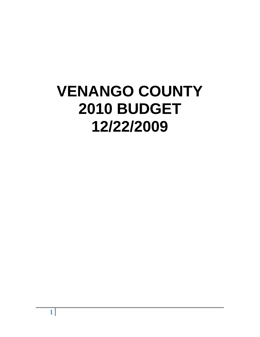# **VENANGO COUNTY 2010 BUDGET 12/22/2009**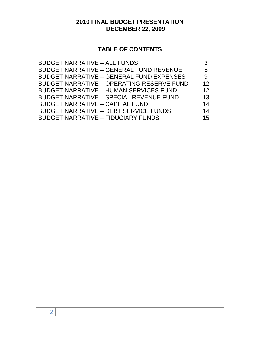# **2010 FINAL BUDGET PRESENTATION DECEMBER 22, 2009**

# **TABLE OF CONTENTS**

| <b>BUDGET NARRATIVE - ALL FUNDS</b>              |    |
|--------------------------------------------------|----|
| <b>BUDGET NARRATIVE - GENERAL FUND REVENUE</b>   | 5  |
| <b>BUDGET NARRATIVE - GENERAL FUND EXPENSES</b>  | 9  |
| <b>BUDGET NARRATIVE - OPERATING RESERVE FUND</b> | 12 |
| <b>BUDGET NARRATIVE - HUMAN SERVICES FUND</b>    | 12 |
| <b>BUDGET NARRATIVE - SPECIAL REVENUE FUND</b>   | 13 |
| <b>BUDGET NARRATIVE - CAPITAL FUND</b>           | 14 |
| <b>BUDGET NARRATIVE - DEBT SERVICE FUNDS</b>     | 14 |
| <b>BUDGET NARRATIVE - FIDUCIARY FUNDS</b>        | 15 |
|                                                  |    |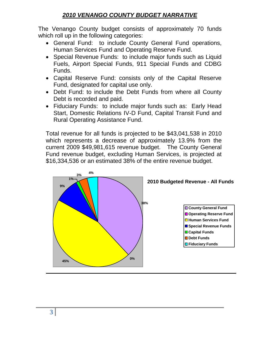# *2010 VENANGO COUNTY BUDGET NARRATIVE*

The Venango County budget consists of approximately 70 funds which roll up in the following categories:

- General Fund: to include County General Fund operations, Human Services Fund and Operating Reserve Fund.
- Special Revenue Funds: to include major funds such as Liquid Fuels, Airport Special Funds, 911 Special Funds and CDBG Funds.
- Capital Reserve Fund: consists only of the Capital Reserve Fund, designated for capital use only.
- Debt Fund: to include the Debt Funds from where all County Debt is recorded and paid.
- Fiduciary Funds: to include major funds such as: Early Head Start, Domestic Relations IV-D Fund, Capital Transit Fund and Rural Operating Assistance Fund.

Total revenue for all funds is projected to be \$43,041,538 in 2010 which represents a decrease of approximately 13.9% from the current 2009 \$49,981,615 revenue budget. The County General Fund revenue budget, excluding Human Services, is projected at \$16,334,536 or an estimated 38% of the entire revenue budget.

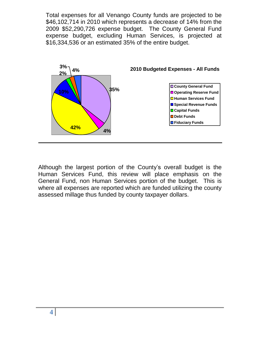Total expenses for all Venango County funds are projected to be \$46,102,714 in 2010 which represents a decrease of 14% from the 2009 \$52,290,726 expense budget. The County General Fund expense budget, excluding Human Services, is projected at \$16,334,536 or an estimated 35% of the entire budget.



Although the largest portion of the County's overall budget is the Human Services Fund, this review will place emphasis on the General Fund, non Human Services portion of the budget. This is where all expenses are reported which are funded utilizing the county assessed millage thus funded by county taxpayer dollars.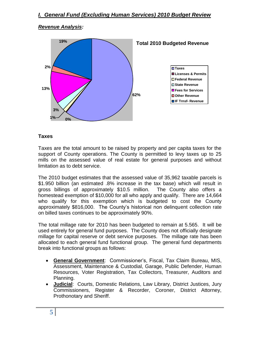## *Revenue Analysis:*



#### **Taxes**

Taxes are the total amount to be raised by property and per capita taxes for the support of County operations. The County is permitted to levy taxes up to 25 mills on the assessed value of real estate for general purposes and without limitation as to debt service.

The 2010 budget estimates that the assessed value of 35,962 taxable parcels is \$1.950 billion (an estimated .8% increase in the tax base) which will result in gross billings of approximately \$10.5 million. The County also offers a homestead exemption of \$10,000 for all who apply and qualify. There are 14,664 who qualify for this exemption which is budgeted to cost the County approximately \$816,000. The County's historical non delinquent collection rate on billed taxes continues to be approximately 90%.

The total millage rate for 2010 has been budgeted to remain at 5.565. It will be used entirely for general fund purposes. The County does not officially designate millage for capital reserve or debt service purposes. The millage rate has been allocated to each general fund functional group. The general fund departments break into functional groups as follows:

- **General Government**: Commissioner's, Fiscal, Tax Claim Bureau, MIS, Assessment, Maintenance & Custodial, Garage, Public Defender, Human Resources, Voter Registration, Tax Collectors, Treasurer, Auditors and Planning.
- **Judicial**: Courts, Domestic Relations, Law Library, District Justices, Jury Commissioners, Register & Recorder, Coroner, District Attorney, Prothonotary and Sheriff.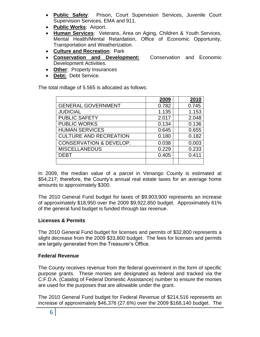- **Public Safety**: Prison, Court Supervision Services, Juvenile Court Supervision Services, EMA and 911.
- **Public Works**: Airport.
- **Human Services**: Veterans, Area on Aging, Children & Youth Services, Mental Health/Mental Retardation, Office of Economic Opportunity, Transportation and Weatherization.
- **Culture and Recreation**: Park
- **Conservation and Development:** Conservation and Economic Development Activities.
- **Other**: Property Insurances
- **Debt:** Debt Service.

The total millage of 5.565 is allocated as follows:

|                                    | 2009  | 2010  |
|------------------------------------|-------|-------|
| <b>GENERAL GOVERNMENT</b>          | 0.782 | 0.745 |
| <b>JUDICIAL</b>                    | 1.135 | 1.153 |
| <b>PUBLIC SAFETY</b>               | 2.017 | 2.048 |
| <b>PUBLIC WORKS</b>                | 0.134 | 0.136 |
| <b>HUMAN SERVICES</b>              | 0.645 | 0.655 |
| <b>CULTURE AND RECREATION</b>      | 0.180 | 0.182 |
| <b>CONSERVATION &amp; DEVELOP.</b> | 0.038 | 0.003 |
| <b>MISCELLANEOUS</b>               | 0.229 | 0.233 |
| <b>DEBT</b>                        | 0.405 | 0.411 |
|                                    |       |       |

In 2009, the median value of a parcel in Venango County is estimated at \$54,217; therefore, the County's annual real estate taxes for an average home amounts to approximately \$300.

The 2010 General Fund budget for taxes of \$9,903,900 represents an increase of approximately \$18,950 over the 2009 \$9,922,850 budget. Approximately 61% of the general fund budget is funded through tax revenue.

#### **Licenses & Permits**

The 2010 General Fund budget for licenses and permits of \$32,800 represents a slight decrease from the 2009 \$33,800 budget. The fees for licenses and permits are largely generated from the Treasurer's Office.

#### **Federal Revenue**

The County receives revenue from the federal government in the form of specific purpose grants. These monies are designated as federal and tracked via the C.F.D.A. (Catalog of Federal Domestic Assistance) number to ensure the monies are used for the purposes that are allowable under the grant.

The 2010 General Fund budget for Federal Revenue of \$214,516 represents an increase of approximately \$46,376 (27.6%) over the 2009 \$168,140 budget. The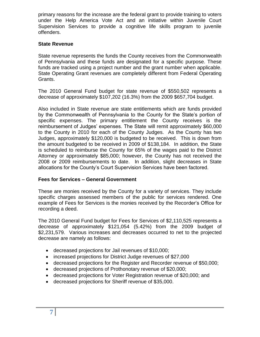primary reasons for the increase are the federal grant to provide training to voters under the Help America Vote Act and an initiative within Juvenile Court Supervision Services to provide a cognitive life skills program to juvenile offenders.

### **State Revenue**

State revenue represents the funds the County receives from the Commonwealth of Pennsylvania and these funds are designated for a specific purpose. These funds are tracked using a project number and the grant number when applicable. State Operating Grant revenues are completely different from Federal Operating Grants.

The 2010 General Fund budget for state revenue of \$550,502 represents a decrease of approximately \$107,202 (16.3%) from the 2009 \$657,704 budget.

Also included in State revenue are state entitlements which are funds provided by the Commonwealth of Pennsylvania to the County for the State's portion of specific expenses. The primary entitlement the County receives is the reimbursement of Judges' expenses. The State will remit approximately \$60,000 to the County in 2010 for each of the County Judges. As the County has two Judges, approximately \$120,000 is budgeted to be received. This is down from the amount budgeted to be received in 2009 of \$138,184. In addition, the State is scheduled to reimburse the County for 65% of the wages paid to the District Attorney or approximately \$85,000; however, the County has not received the 2008 or 2009 reimbursements to date. In addition, slight decreases in State allocations for the County's Court Supervision Services have been factored.

### **Fees for Services – General Government**

These are monies received by the County for a variety of services. They include specific charges assessed members of the public for services rendered. One example of Fees for Services is the monies received by the Recorder's Office for recording a deed.

The 2010 General Fund budget for Fees for Services of \$2,110,525 represents a decrease of approximately \$121,054 (5.42%) from the 2009 budget of \$2,231,579. Various increases and decreases occurred to net to the projected decrease are namely as follows:

- decreased projections for Jail revenues of \$10,000;
- increased projections for District Judge revenues of \$27,000
- decreased projections for the Register and Recorder revenue of \$50,000;
- decreased projections of Prothonotary revenue of \$20,000;
- decreased projections for Voter Registration revenue of \$20,000; and
- decreased projections for Sheriff revenue of \$35,000.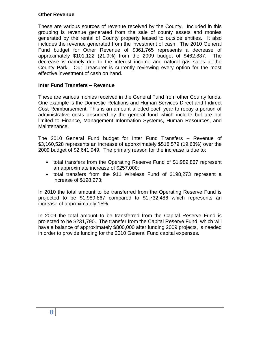#### **Other Revenue**

These are various sources of revenue received by the County. Included in this grouping is revenue generated from the sale of county assets and monies generated by the rental of County property leased to outside entities. It also includes the revenue generated from the investment of cash. The 2010 General Fund budget for Other Revenue of \$361,765 represents a decrease of approximately \$101,122 (21.9%) from the 2009 budget of \$462,887. The decrease is namely due to the interest income and natural gas sales at the County Park. Our Treasurer is currently reviewing every option for the most effective investment of cash on hand.

### **Inter Fund Transfers – Revenue**

These are various monies received in the General Fund from other County funds. One example is the Domestic Relations and Human Services Direct and Indirect Cost Reimbursement. This is an amount allotted each year to repay a portion of administrative costs absorbed by the general fund which include but are not limited to Finance, Management Information Systems, Human Resources, and Maintenance.

The 2010 General Fund budget for Inter Fund Transfers – Revenue of \$3,160,528 represents an increase of approximately \$518,579 (19.63%) over the 2009 budget of \$2,641,949. The primary reason for the increase is due to:

- total transfers from the Operating Reserve Fund of \$1,989,867 represent an approximate increase of \$257,000;
- total transfers from the 911 Wireless Fund of \$198,273 represent a increase of \$198,273;

In 2010 the total amount to be transferred from the Operating Reserve Fund is projected to be \$1,989,867 compared to \$1,732,486 which represents an increase of approximately 15%.

In 2009 the total amount to be transferred from the Capital Reserve Fund is projected to be \$231,790. The transfer from the Capital Reserve Fund, which will have a balance of approximately \$800,000 after funding 2009 projects, is needed in order to provide funding for the 2010 General Fund capital expenses.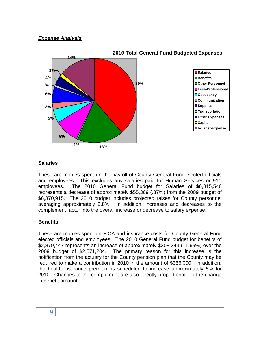## *Expense Analysis*



#### **2010 Total General Fund Budgeted Expenses**

#### **Salaries**

These are monies spent on the payroll of County General Fund elected officials and employees. This excludes any salaries paid for Human Services or 911 employees. The 2010 General Fund budget for Salaries of \$6,315,546 represents a decrease of approximately \$55,369 (.87%) from the 2009 budget of \$6,370,915. The 2010 budget includes projected raises for County personnel averaging approximately 2.8%. In addition, increases and decreases to the complement factor into the overall increase or decrease to salary expense.

#### **Benefits**

These are monies spent on FICA and insurance costs for County General Fund elected officials and employees. The 2010 General Fund budget for benefits of \$2,879,447 represents an increase of approximately \$308,243 (11.99%) over the 2009 budget of \$2,571,204. The primary reason for this increase is the notification from the actuary for the County pension plan that the County may be required to make a contribution in 2010 in the amount of \$356,000. In addition, the health insurance premium is scheduled to increase approximately 5% for 2010. Changes to the complement are also directly proportionate to the change in benefit amount.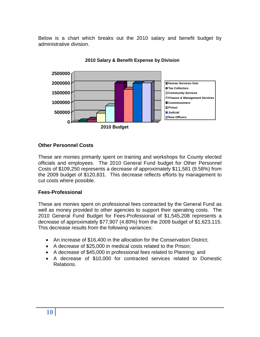Below is a chart which breaks out the 2010 salary and benefit budget by administrative division.



#### **2010 Salary & Benefit Expense by Division**

#### **Other Personnel Costs**

These are monies primarily spent on training and workshops for County elected officials and employees. The 2010 General Fund budget for Other Personnel Costs of \$109,250 represents a decrease of approximately \$11,581 (9.58%) from the 2009 budget of \$120,831. This decrease reflects efforts by management to cut costs where possible.

#### **Fees-Professional**

These are monies spent on professional fees contracted by the General Fund as well as money provided to other agencies to support their operating costs. The 2010 General Fund Budget for Fees-Professional of \$1,545,208 represents a decrease of approximately \$77,907 (4.80%) from the 2009 budget of \$1,623,115. This decrease results from the following variances:

- An increase of \$16,400 in the allocation for the Conservation District;
- A decrease of \$25,000 in medical costs related to the Prison;
- A decrease of \$45,000 in professional fees related to Planning; and
- A decrease of \$10,000 for contracted services related to Domestic Relations.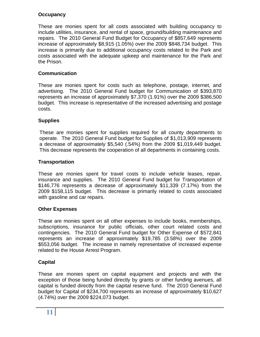## **Occupancy**

These are monies spent for all costs associated with building occupancy to include utilities, insurance, and rental of space, ground/building maintenance and repairs. The 2010 General Fund Budget for Occupancy of \$857,649 represents increase of approximately \$8,915 (1.05%) over the 2009 \$848,734 budget. This increase is primarily due to additional occupancy costs related to the Park and costs associated with the adequate upkeep and maintenance for the Park and the Prison.

## **Communication**

These are monies spent for costs such as telephone, postage, internet, and advertising. The 2010 General Fund budget for Communication of \$393,870 represents an increase of approximately \$7,370 (1.91%) over the 2009 \$386,500 budget. This increase is representative of the increased advertising and postage costs.

## **Supplies**

These are monies spent for supplies required for all county departments to operate. The 2010 General Fund budget for Supplies of \$1,013,909 represents a decrease of approximately \$5,540 (.54%) from the 2009 \$1,019,449 budget. This decrease represents the cooperation of all departments in containing costs.

## **Transportation**

These are monies spent for travel costs to include vehicle leases, repair, insurance and supplies. The 2010 General Fund budget for Transportation of \$146,776 represents a decrease of approximately \$11,339 (7.17%) from the 2009 \$158,115 budget. This decrease is primarily related to costs associated with gasoline and car repairs.

## **Other Expenses**

These are monies spent on all other expenses to include books, memberships, subscriptions, insurance for public officials, other court related costs and contingencies. The 2010 General Fund budget for Other Expense of \$572,841 represents an increase of approximately \$19,785 (3.58%) over the 2009 \$553,056 budget. The increase in namely representative of increased expense related to the House Arrest Program.

## **Capital**

These are monies spent on capital equipment and projects and with the exception of those being funded directly by grants or other funding avenues, all capital is funded directly from the capital reserve fund. The 2010 General Fund budget for Capital of \$234,700 represents an increase of approximately \$10,627 (4.74%) over the 2009 \$224,073 budget.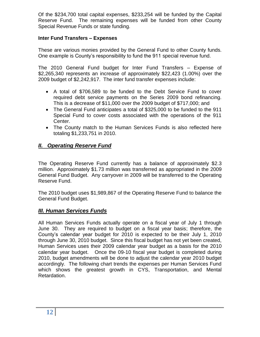Of the \$234,700 total capital expenses, \$233,254 will be funded by the Capital Reserve Fund. The remaining expenses will be funded from other County Special Revenue Funds or state funding.

## **Inter Fund Transfers – Expenses**

These are various monies provided by the General Fund to other County funds. One example is County's responsibility to fund the 911 special revenue fund.

The 2010 General Fund budget for Inter Fund Transfers – Expense of \$2,265,340 represents an increase of approximately \$22,423 (1.00%) over the 2009 budget of \$2,242,917. The inter fund transfer expenses include:

- A total of \$706,589 to be funded to the Debt Service Fund to cover required debt service payments on the Series 2009 bond refinancing. This is a decrease of \$11,000 over the 2009 budget of \$717,000; and
- The General Fund anticipates a total of \$325,000 to be funded to the 911 Special Fund to cover costs associated with the operations of the 911 Center.
- The County match to the Human Services Funds is also reflected here totaling \$1,233,751 in 2010.

## *II. Operating Reserve Fund*

The Operating Reserve Fund currently has a balance of approximately \$2.3 million. Approximately \$1.73 million was transferred as appropriated in the 2009 General Fund Budget. Any carryover in 2009 will be transferred to the Operating Reserve Fund.

The 2010 budget uses \$1,989,867 of the Operating Reserve Fund to balance the General Fund Budget.

## *III. Human Services Funds*

All Human Services Funds actually operate on a fiscal year of July 1 through June 30. They are required to budget on a fiscal year basis; therefore, the County's calendar year budget for 2010 is expected to be their July 1, 2010 through June 30, 2010 budget. Since this fiscal budget has not yet been created, Human Services uses their 2009 calendar year budget as a basis for the 2010 calendar year budget. Once the 09-10 fiscal year budget is completed during 2010, budget amendments will be done to adjust the calendar year 2010 budget accordingly. The following chart trends the expenses per Human Services Fund which shows the greatest growth in CYS, Transportation, and Mental Retardation.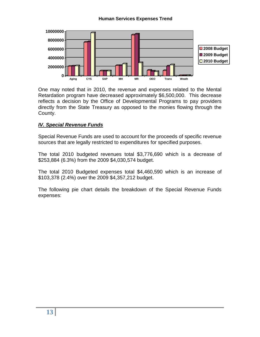#### **Human Services Expenses Trend**



One may noted that in 2010, the revenue and expenses related to the Mental Retardation program have decreased approximately \$6,500,000. This decrease reflects a decision by the Office of Developmental Programs to pay providers directly from the State Treasury as opposed to the monies flowing through the County.

#### *IV. Special Revenue Funds*

Special Revenue Funds are used to account for the proceeds of specific revenue sources that are legally restricted to expenditures for specified purposes.

The total 2010 budgeted revenues total \$3,776,690 which is a decrease of \$253,884 (6.3%) from the 2009 \$4,030,574 budget.

The total 2010 Budgeted expenses total \$4,460,590 which is an increase of \$103,378 (2.4%) over the 2009 \$4,357,212 budget.

The following pie chart details the breakdown of the Special Revenue Funds expenses: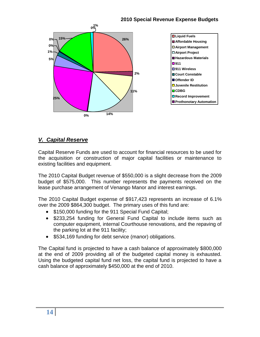## **2010 Special Revenue Expense Budgets**



## *V. Capital Reserve*

Capital Reserve Funds are used to account for financial resources to be used for the acquisition or construction of major capital facilities or maintenance to existing facilities and equipment.

The 2010 Capital Budget revenue of \$550,000 is a slight decrease from the 2009 budget of \$575,000. This number represents the payments received on the lease purchase arrangement of Venango Manor and interest earnings.

The 2010 Capital Budget expense of \$917,423 represents an increase of 6.1% over the 2009 \$864,300 budget. The primary uses of this fund are:

- \$150,000 funding for the 911 Special Fund Capital;
- \$233,254 funding for General Fund Capital to include items such as computer equipment, internal Courthouse renovations, and the repaving of the parking lot at the 911 facility;
- \$534,169 funding for debt service (manor) obligations.

The Capital fund is projected to have a cash balance of approximately \$800,000 at the end of 2009 providing all of the budgeted capital money is exhausted. Using the budgeted capital fund net loss, the capital fund is projected to have a cash balance of approximately \$450,000 at the end of 2010.